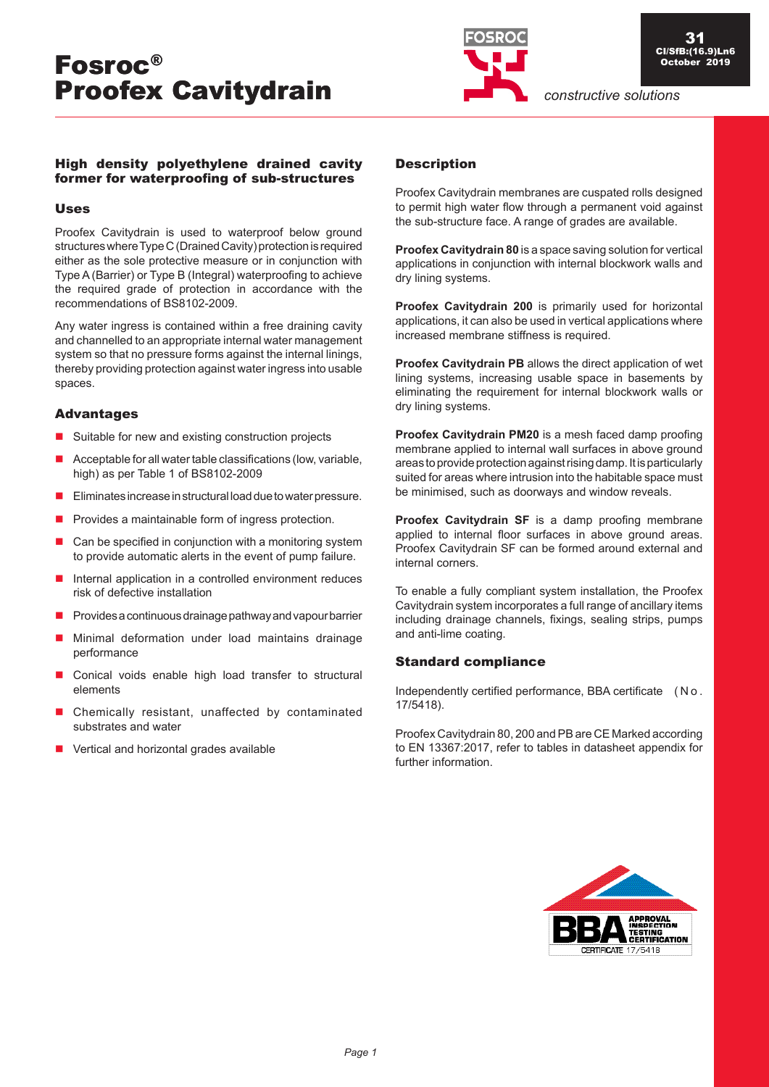

# High density polyethylene drained cavity former for waterproofing of sub-structures

### Uses

Proofex Cavitydrain is used to waterproof below ground structures where Type C (Drained Cavity) protection is required either as the sole protective measure or in conjunction with Type A (Barrier) or Type B (Integral) waterproofing to achieve the required grade of protection in accordance with the recommendations of BS8102-2009.

Any water ingress is contained within a free draining cavity and channelled to an appropriate internal water management system so that no pressure forms against the internal linings, thereby providing protection against water ingress into usable spaces.

# Advantages

- Suitable for new and existing construction projects
- $\blacksquare$  Acceptable for all water table classifications (low, variable, high) as per Table 1 of BS8102-2009
- Eliminates increase in structural load due to water pressure.
- $\blacksquare$  Provides a maintainable form of ingress protection.
- $\Box$  Can be specified in conjunction with a monitoring system to provide automatic alerts in the event of pump failure.
- $\blacksquare$  Internal application in a controlled environment reduces risk of defective installation
- Provides a continuous drainage pathway and vapour barrier
- **Minimal deformation under load maintains drainage** performance
- Conical voids enable high load transfer to structural elements
- Chemically resistant, unaffected by contaminated substrates and water
- Vertical and horizontal grades available

# **Description**

Proofex Cavitydrain membranes are cuspated rolls designed to permit high water flow through a permanent void against the sub-structure face. A range of grades are available.

**Proofex Cavitydrain 80** is a space saving solution for vertical applications in conjunction with internal blockwork walls and dry lining systems.

**Proofex Cavitydrain 200** is primarily used for horizontal applications, it can also be used in vertical applications where increased membrane stiffness is required.

**Proofex Cavitydrain PB** allows the direct application of wet lining systems, increasing usable space in basements by eliminating the requirement for internal blockwork walls or dry lining systems.

**Proofex Cavitydrain PM20** is a mesh faced damp proofing membrane applied to internal wall surfaces in above ground areas to provide protection against rising damp. It is particularly suited for areas where intrusion into the habitable space must be minimised, such as doorways and window reveals.

**Proofex Cavitydrain SF** is a damp proofing membrane applied to internal floor surfaces in above ground areas. Proofex Cavitydrain SF can be formed around external and internal corners.

To enable a fully compliant system installation, the Proofex Cavitydrain system incorporates a full range of ancillary items including drainage channels, fixings, sealing strips, pumps and anti-lime coating.

# Standard compliance

Independently certified performance, BBA certificate ( N o . 17/5418).

Proofex Cavitydrain 80, 200 and PB are CE Marked according to EN 13367:2017, refer to tables in datasheet appendix for further information.

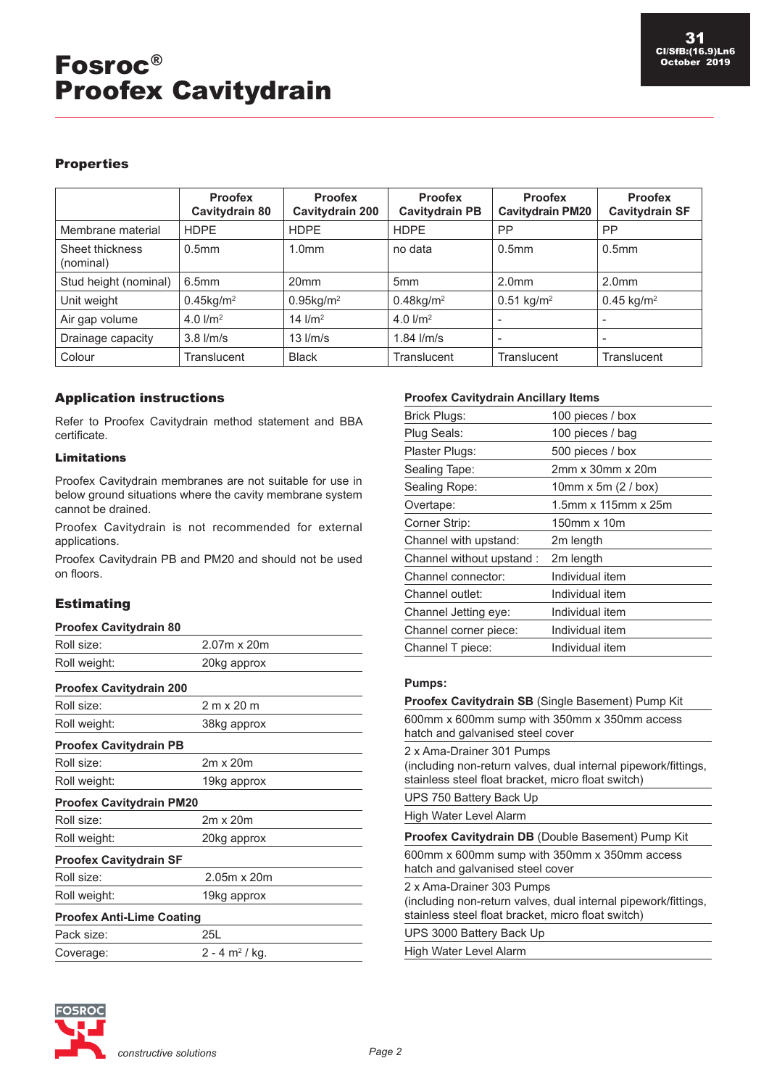# **Properties**

|                              | <b>Proofex</b><br>Cavitydrain 80 | <b>Proofex</b><br>Cavitydrain 200 | <b>Proofex</b><br><b>Cavitydrain PB</b> | <b>Proofex</b><br><b>Cavitydrain PM20</b> | <b>Proofex</b><br><b>Cavitydrain SF</b> |
|------------------------------|----------------------------------|-----------------------------------|-----------------------------------------|-------------------------------------------|-----------------------------------------|
| Membrane material            | <b>HDPE</b>                      | <b>HDPE</b>                       | <b>HDPE</b>                             | <b>PP</b>                                 | <b>PP</b>                               |
| Sheet thickness<br>(nominal) | 0.5 <sub>mm</sub>                | 1.0 <sub>mm</sub>                 | no data                                 | 0.5 <sub>mm</sub>                         | 0.5 <sub>mm</sub>                       |
| Stud height (nominal)        | 6.5mm                            | 20 <sub>mm</sub>                  | 5 <sub>mm</sub>                         | 2.0 <sub>mm</sub>                         | 2.0 <sub>mm</sub>                       |
| Unit weight                  | $0.45$ kg/m <sup>2</sup>         | $0.95$ kg/m <sup>2</sup>          | $0.48$ kg/m <sup>2</sup>                | $0.51$ kg/m <sup>2</sup>                  | $0.45$ kg/m <sup>2</sup>                |
| Air gap volume               | 4.0 $1/m^2$                      | 14 $1/m^2$                        | 4.0 $1/m^2$                             |                                           |                                         |
| Drainage capacity            | $3.8$ $1/m/s$                    | $13$ $1/m/s$                      | $1.84$ $1/m/s$                          |                                           | $\overline{\phantom{a}}$                |
| Colour                       | Translucent                      | <b>Black</b>                      | Translucent                             | Translucent                               | Translucent                             |

# Application instructions

Refer to Proofex Cavitydrain method statement and BBA certificate.

# Limitations

Proofex Cavitydrain membranes are not suitable for use in below ground situations where the cavity membrane system cannot be drained.

Proofex Cavitydrain is not recommended for external applications.

Proofex Cavitydrain PB and PM20 and should not be used on floors.

# **Estimating**

#### **Proofex Cavitydrain 80**

| Roll size:                       | 2.07m x 20m                  |  |  |  |
|----------------------------------|------------------------------|--|--|--|
| Roll weight:                     | 20kg approx                  |  |  |  |
| <b>Proofex Cavitydrain 200</b>   |                              |  |  |  |
| Roll size:                       | 2 m x 20 m                   |  |  |  |
| Roll weight:                     | 38kg approx                  |  |  |  |
| <b>Proofex Cavitydrain PB</b>    |                              |  |  |  |
| Roll size:                       | $2m \times 20m$              |  |  |  |
| Roll weight:                     | 19kg approx                  |  |  |  |
| <b>Proofex Cavitydrain PM20</b>  |                              |  |  |  |
| Roll size:                       | 2m x 20m                     |  |  |  |
| Roll weight:                     | 20kg approx                  |  |  |  |
| <b>Proofex Cavitydrain SF</b>    |                              |  |  |  |
| Roll size:                       | 2.05m x 20m                  |  |  |  |
| Roll weight:                     | 19kg approx                  |  |  |  |
| <b>Proofex Anti-Lime Coating</b> |                              |  |  |  |
| Pack size:                       | 25L                          |  |  |  |
| Coverage:                        | $2 - 4$ m <sup>2</sup> / kg. |  |  |  |

#### **Proofex Cavitydrain Ancillary Items**

| <b>Brick Plugs:</b>       | 100 pieces / box           |
|---------------------------|----------------------------|
| Plug Seals:               | 100 pieces / bag           |
| Plaster Plugs:            | 500 pieces / box           |
| Sealing Tape:             | 2mm x 30mm x 20m           |
| Sealing Rope:             | $10mm \times 5m$ (2 / box) |
| Overtape:                 | 1.5mm x 115mm x 25m        |
| Corner Strip:             | 150mm x 10m                |
| Channel with upstand:     | 2m length                  |
| Channel without upstand : | 2m length                  |
| Channel connector:        | Individual item            |
| Channel outlet:           | Individual item            |
| Channel Jetting eye:      | Individual item            |
| Channel corner piece:     | Individual item            |
| Channel T piece:          | Individual item            |
|                           |                            |

### **Pumps:**

| <b>Proofex Cavitydrain SB</b> (Single Basement) Pump Kit                                                                                          |  |  |  |  |  |
|---------------------------------------------------------------------------------------------------------------------------------------------------|--|--|--|--|--|
| 600mm x 600mm sump with 350mm x 350mm access<br>hatch and galvanised steel cover                                                                  |  |  |  |  |  |
| 2 x Ama-Drainer 301 Pumps<br>(including non-return valves, dual internal pipework/fittings,<br>stainless steel float bracket, micro float switch) |  |  |  |  |  |
| UPS 750 Battery Back Up                                                                                                                           |  |  |  |  |  |
| High Water Level Alarm                                                                                                                            |  |  |  |  |  |
| Proofex Cavitydrain DB (Double Basement) Pump Kit                                                                                                 |  |  |  |  |  |
| 600mm x 600mm sump with 350mm x 350mm access<br>hatch and galvanised steel cover                                                                  |  |  |  |  |  |
| 2 x Ama-Drainer 303 Pumps<br>(including non-return valves, dual internal pipework/fittings,<br>stainless steel float bracket, micro float switch) |  |  |  |  |  |
| UPS 3000 Battery Back Up                                                                                                                          |  |  |  |  |  |
| High Water Level Alarm                                                                                                                            |  |  |  |  |  |